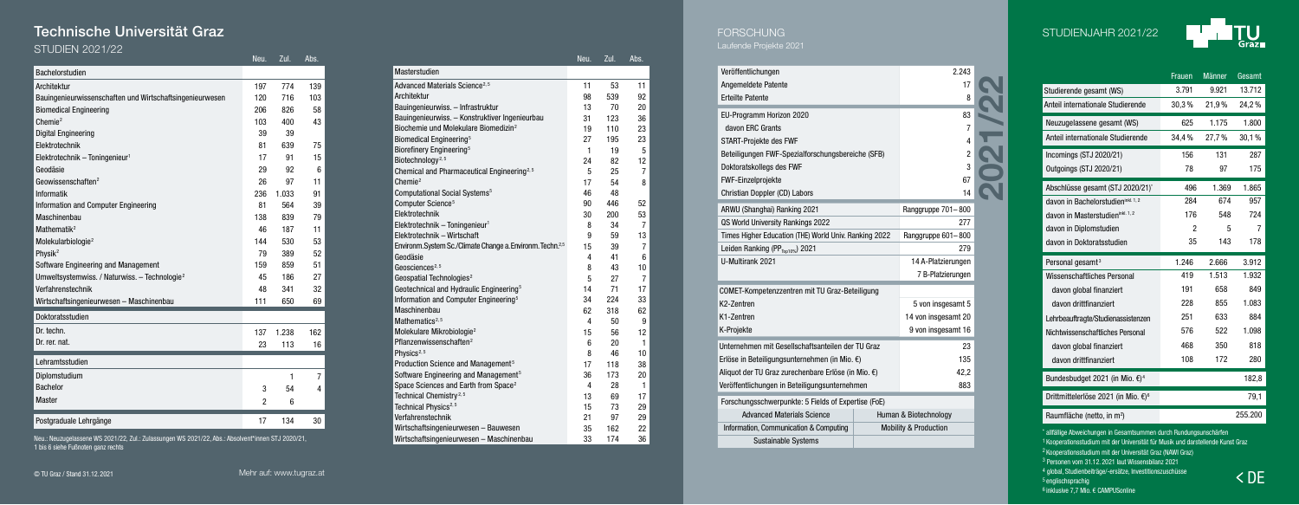# Technische Universität Graz

#### STUDIEN 2021/22

|                                                           | Neu. | Zul.  | Abs. |                                                                               | Neu.           | Zul.     | Abs.            |
|-----------------------------------------------------------|------|-------|------|-------------------------------------------------------------------------------|----------------|----------|-----------------|
| Bachelorstudien                                           |      |       |      | Masterstudien                                                                 |                |          |                 |
| Architektur                                               | 197  | 774   | 139  | Advanced Materials Science <sup>2,5</sup>                                     | 11             | 53       | 11              |
| Bauingenieurwissenschaften und Wirtschaftsingenieurwesen  | 120  | 716   | 103  | Architektur                                                                   | 98             | 539      | 92              |
| <b>Biomedical Engineering</b>                             | 206  | 826   | 58   | Bauingenieurwiss. - Infrastruktur                                             | 13             | 70       | 20              |
| Chemie <sup>2</sup>                                       | 103  | 400   | 43   | Bauingenieurwiss. - Konstruktiver Ingenieurbau                                | 31             | 123      | 36              |
| <b>Digital Engineering</b>                                | 39   | 39    |      | Biochemie und Molekulare Biomedizin <sup>2</sup>                              | 19             | 110      | 23              |
| Elektrotechnik                                            | 81   | 639   | 75   | Biomedical Engineering <sup>5</sup>                                           | 27             | 195      | 23              |
| Elektrotechnik - Toningenieur <sup>1</sup>                | 17   | 91    | 15   | Biorefinery Engineering <sup>5</sup>                                          | $\mathbf{1}$   | 19       | 5               |
| Geodäsie                                                  | 29   | 92    | 6    | Biotechnology <sup>2, 5</sup>                                                 | 24             | 82       | 12              |
| Geowissenschaften <sup>2</sup>                            | 26   | 97    | 11   | Chemical and Pharmaceutical Engineering <sup>2,5</sup><br>Chemie <sup>2</sup> | 5<br>17        | 25       | $\overline{7}$  |
|                                                           |      |       |      | Computational Social Systems <sup>5</sup>                                     | 46             | 54<br>48 | 8               |
| Informatik                                                | 236  | 1.033 | 91   | Computer Science <sup>5</sup>                                                 | 90             | 446      | 52              |
| Information and Computer Engineering                      | 81   | 564   | 39   | Elektrotechnik                                                                | 30             | 200      | 53              |
| Maschinenbau                                              | 138  | 839   | 79   | Elektrotechnik - Toningenieur <sup>1</sup>                                    | 8              | 34       | $\overline{7}$  |
| Mathematik <sup>2</sup>                                   | 46   | 187   | 11   | Elektrotechnik - Wirtschaft                                                   | 9              | 59       | 13              |
| Molekularbiologie <sup>2</sup>                            | 144  | 530   | 53   | Environm. System Sc./Climate Change a. Environm. Techn. <sup>2,5</sup>        | 15             | 39       | $\overline{7}$  |
| Physik <sup>2</sup>                                       | 79   | 389   | 52   | Geodäsie                                                                      | 4              | 41       | $6\phantom{1}6$ |
| Software Engineering and Management                       | 159  | 859   | 51   | Geosciences <sup>2, 5</sup>                                                   | 8              | 43       | 10              |
| Umweltsystemwiss. / Naturwiss. - Technologie <sup>2</sup> | 45   | 186   | 27   | Geospatial Technologies <sup>2</sup>                                          | 5              | 27       | $\overline{7}$  |
| Verfahrenstechnik                                         | 48   | 341   | 32   | Geotechnical and Hydraulic Engineering <sup>5</sup>                           | 14             | 71       | 17              |
| Wirtschaftsingenieurwesen - Maschinenbau                  | 111  | 650   | 69   | Information and Computer Engineering <sup>5</sup>                             | 34             | 224      | 33              |
|                                                           |      |       |      | Maschinenbau                                                                  | 62             | 318      | 62              |
| Doktoratsstudien                                          |      |       |      | Mathematics <sup>2, 5</sup>                                                   | 4              | 50       | 9               |
| Dr. techn.                                                | 137  | 1.238 | 162  | Molekulare Mikrobiologie <sup>2</sup>                                         | 15             | 56       | 12              |
| Dr. rer. nat.                                             | 23   | 113   | 16   | Pflanzenwissenschaften <sup>2</sup>                                           | 6              | 20       | $\mathbf{1}$    |
|                                                           |      |       |      | Physics <sup>2, 5</sup>                                                       | 8              | 46       | 10              |
| Lehramtsstudien                                           |      |       |      | Production Science and Management <sup>5</sup>                                | 17             | 118      | 38              |
| Diplomstudium                                             |      |       | 7    | Software Engineering and Management <sup>5</sup>                              | 36             | 173      | 20              |
| <b>Bachelor</b>                                           | 3    | 54    | 4    | Space Sciences and Earth from Space <sup>2</sup>                              | $\overline{4}$ | 28       | $\mathbf{1}$    |
| <b>Master</b>                                             | 2    | 6     |      | Technical Chemistry <sup>2,5</sup>                                            | 13             | 69       | 17              |
|                                                           |      |       |      | Technical Physics <sup>2,5</sup><br>Verfahrenstechnik                         | 15             | 73<br>97 | 29              |
| Postgraduale Lehrgänge                                    | 17   | 134   | 30   | Wirtschaftsingenieurwesen - Rauwesen                                          | 21<br>२५       | 162      | 29<br>22        |

Neu.: Neuzugelassene WS 2021/22, Zul.: Zulassungen WS 2021/22, Abs.: Absolvent\*innen STJ 2020/21, 1 bis 6 siehe Fußnoten ganz rechts

| Masterstudien                                                          |    |     |                |
|------------------------------------------------------------------------|----|-----|----------------|
| Advanced Materials Science <sup>2, 5</sup>                             | 11 | 53  | 11             |
| Architektur                                                            | 98 | 539 | 92             |
| Bauingenieurwiss. - Infrastruktur                                      | 13 | 70  | 20             |
| Bauingenieurwiss. - Konstruktiver Ingenieurbau                         | 31 | 123 | 36             |
| Biochemie und Molekulare Biomedizin <sup>2</sup>                       | 19 | 110 | 23             |
| Biomedical Engineering <sup>5</sup>                                    | 27 | 195 | 23             |
| Biorefinery Engineering <sup>5</sup>                                   | 1  | 19  | 5              |
| Biotechnology <sup>2, 5</sup>                                          | 24 | 82  | 12             |
| Chemical and Pharmaceutical Engineering <sup>2,5</sup>                 | 5  | 25  | $\overline{7}$ |
| Chemie <sup>2</sup>                                                    | 17 | 54  | 8              |
| Computational Social Systems <sup>5</sup>                              | 46 | 48  |                |
| Computer Science <sup>5</sup>                                          | 90 | 446 | 52             |
| Elektrotechnik                                                         | 30 | 200 | 53             |
| Elektrotechnik - Toningenieur <sup>1</sup>                             | 8  | 34  | $\overline{7}$ |
| Elektrotechnik - Wirtschaft                                            | 9  | 59  | 13             |
| Environm. System Sc./Climate Change a. Environm. Techn. <sup>2,5</sup> | 15 | 39  | 7              |
| Geodäsie                                                               | 4  | 41  | 6              |
| Geosciences <sup>2, 5</sup>                                            | 8  | 43  | 10             |
| Geospatial Technologies <sup>2</sup>                                   | 5  | 27  | $\overline{7}$ |
| Geotechnical and Hydraulic Engineering <sup>5</sup>                    | 14 | 71  | 17             |
| Information and Computer Engineering <sup>5</sup>                      | 34 | 224 | 33             |
| Maschinenbau                                                           | 62 | 318 | 62             |
| Mathematics <sup>2, 5</sup>                                            | 4  | 50  | 9              |
| Molekulare Mikrobiologie <sup>2</sup>                                  | 15 | 56  | 12             |
| Pflanzenwissenschaften <sup>2</sup>                                    | 6  | 20  | 1              |
| Physics <sup>2, 5</sup>                                                | 8  | 46  | 10             |
| Production Science and Management <sup>5</sup>                         | 17 | 118 | 38             |
| Software Engineering and Management <sup>5</sup>                       | 36 | 173 | 20             |
| Space Sciences and Earth from Space <sup>2</sup>                       | 4  | 28  | 1              |
| Technical Chemistry <sup>2,5</sup>                                     | 13 | 69  | 17             |
| Technical Physics <sup>2,5</sup>                                       | 15 | 73  | 29             |
| Verfahrenstechnik                                                      | 21 | 97  | 29             |
| Wirtschaftsingenieurwesen - Bauwesen                                   | 35 | 162 | 22             |
| Wirtschaftsingenieurwesen - Maschinenbau                               | 33 | 174 | 36             |

| 2.243<br>Veröffentlichungen                                                 |  |
|-----------------------------------------------------------------------------|--|
| 17                                                                          |  |
| Angemeldete Patente                                                         |  |
| <b>Erteilte Patente</b><br>8                                                |  |
| EU-Programm Horizon 2020<br>83                                              |  |
| davon FRC Grants<br>7                                                       |  |
| START-Proiekte des FWF<br>4                                                 |  |
| $\overline{2}$<br>Beteiligungen FWF-Spezialforschungsbereiche (SFB)         |  |
| Doktoratskollegs des FWF<br>3                                               |  |
| 67<br>FWF-Einzelprojekte                                                    |  |
| Christian Doppler (CD) Labors<br>14                                         |  |
| ARWU (Shanghai) Ranking 2021<br>Ranggruppe 701-800                          |  |
| QS World University Rankings 2022<br>277                                    |  |
| Times Higher Education (THE) World Univ. Ranking 2022<br>Ranggruppe 601-800 |  |
| Leiden Ranking (PP <sub>Ton10%</sub> ) 2021<br>279                          |  |
| <b>II-Multirank 2021</b><br>14 A-Platzierungen                              |  |
| 7 B-Platzierungen                                                           |  |
| COMET-Kompetenzzentren mit TU Graz-Beteiligung                              |  |
| K <sub>2</sub> -7 <sub>entren</sub><br>5 von insgesamt 5                    |  |
| 14 von insgesamt 20<br>K1-Zentren                                           |  |
| K-Projekte<br>9 von insgesamt 16                                            |  |
|                                                                             |  |
| Unternehmen mit Gesellschaftsanteilen der TU Graz<br>23                     |  |
| 135<br>Erlöse in Beteiligungsunternehmen (in Mio. €)                        |  |
| Aliquot der TU Graz zurechenbare Erlöse (in Mio. €)<br>42.2                 |  |
| Veröffentlichungen in Beteiligungsunternehmen<br>883                        |  |
| Forschungsschwerpunkte: 5 Fields of Expertise (FoE)                         |  |
| <b>Advanced Materials Science</b><br>Human & Biotechnology                  |  |
| <b>Mobility &amp; Production</b><br>Information, Communication & Computing  |  |
| <b>Sustainable Systems</b>                                                  |  |





|                                                 | Frauen | Männer | Gesamt |
|-------------------------------------------------|--------|--------|--------|
| Studierende gesamt (WS)                         | 3.791  | 9.921  | 13.712 |
| Anteil internationale Studierende               | 30,3%  | 21,9%  | 24,2%  |
| Neuzugelassene gesamt (WS)                      | 625    | 1.175  | 1.800  |
| Anteil internationale Studierende               | 34.4%  | 27,7%  | 30,1%  |
| Incomings (STJ 2020/21)                         | 156    | 131    | 287    |
| Outgoings (STJ 2020/21)                         | 78     | 97     | 175    |
| Abschlüsse gesamt (STJ 2020/21)*                | 496    | 1.369  | 1.865  |
| davon in Bachelorstudieninkl. 1, 2              | 284    | 674    | 957    |
| davon in Masterstudieninkl. 1, 2                | 176    | 548    | 724    |
| davon in Diplomstudien                          | 2      | 5      | 7      |
| davon in Doktoratsstudien                       | 35     | 143    | 178    |
|                                                 |        |        |        |
| Personal gesamt <sup>3</sup>                    | 1.246  | 2.666  | 3.912  |
| Wissenschaftliches Personal                     | 419    | 1.513  | 1.932  |
| davon global finanziert                         | 191    | 658    | 849    |
| davon drittfinanziert                           | 228    | 855    | 1.083  |
| Lehrbeauftragte/Studienassistenzen              | 251    | 633    | 884    |
| Nichtwissenschaftliches Personal                | 576    | 522    | 1.098  |
| davon global finanziert                         | 468    | 350    | 818    |
| davon drittfinanziert                           | 108    | 172    | 280    |
| Bundesbudget 2021 (in Mio. €) <sup>4</sup>      |        |        | 182,8  |
| Drittmittelerlöse 2021 (in Mio. €) <sup>6</sup> |        |        | 79,1   |

 $<$  DE \* allfällige Abweichungen in Gesamtsummen durch Rundungsunschärfen Kooperationsstudium mit der Universität für Musik und darstellende Kunst Graz Kooperationsstudium mit der Universität Graz (NAWI Graz) Personen vom 31.12. 2021 laut Wissensbilanz 2021 4 global, Studienbeiträge/-ersätze, Investitionszuschüsse englischsprachig inklusive 7,7 Mio. € CAMPUSonline

© TU Graz / Stand 31.12. 2021